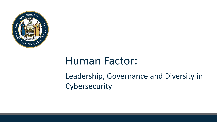

## Human Factor:

### Leadership, Governance and Diversity in Cybersecurity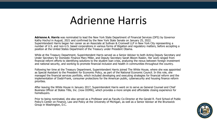### Adrienne Harris

**Adrienne A. Harris** was nominated to lead the New York State Department of Financial Services (DFS) by Governor Kathy Hochul in August, 2021 and confirmed by the New York State Senate on January 25, 2022. Superintendent Harris began her career as an Associate at Sullivan & Cromwell LLP in New York City representing a number of U.S. and non-U.S. based corporations in various forms of litigation and regulatory matters, before accepting a position at the United States Department of the Treasury under President Obama.

While at the Treasury Department, Superintendent Harris served as a Senior Advisor to both Acting Deputy Secretary and Under Secretary for Domestic Finance Mary Miller, and Deputy Secretary Sarah Bloom Raskin. Her work ranged from financial reform efforts to identifying solutions to the student loan crisis, analyzing the nexus between foreign investment and national security, and working to promote financial inclusion and health in communities throughout the country.

Following her time at the Treasury Department, Superintendent Harris joined The White House, where she was appointed as Special Assistant to the President for Economic Policy, as part of the National Economic Council. In this role, she managed the financial services portfolio, which included developing and executing strategies for financial reform and the implementation of Dodd-Frank, consumer protections for the American public, cybersecurity and housing finance reform priorities.

After leaving the White House in January 2017, Superintendent Harris went on to serve as General Counsel and Chief Business Officer at States Title, Inc. (now DOMA), which provides a more simple and affordable closing experience for homebuyers.

Prior to being nominated, she also served as a Professor and as Faculty Co-Director at the Gerald R. Ford School of Public Policy's Center on Finance, Law and Policy at the University of Michigan, as well as a Senior Advisor at the Brunswick Group in Washington, D.C.

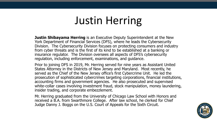# Justin Herring

**Justin Shibayama Herring** is an Executive Deputy Superintendent at the New York Department of Financial Services (DFS), where he leads the Cybersecurity Division. The Cybersecurity Division focuses on protecting consumers and industry from cyber threats and is the first of its kind to be established at a banking or insurance regulator. The Division oversees all aspects of DFS's cybersecurity regulation, including enforcement, examinations, and guidance.

Prior to joining DFS in 2019, Mr. Herring served for nine years as Assistant United States Attorney in the Districts of New Jersey and Maryland. Most recently, he served as the Chief of the New Jersey office's first Cybercrime Unit. He led the prosecution of sophisticated cybercrimes targeting corporations, financial institutions, accounting firms and government agencies. He also prosecuted and supervised white-collar cases involving investment fraud, stock manipulation, money laundering, insider trading, and corporate embezzlement.

Mr. Herring graduated from the University of Chicago Law School with Honors and received a B.A. from Swarthmore College. After law school, he clerked for Chief Judge Danny J. Boggs on the U.S. Court of Appeals for the Sixth Circuit.

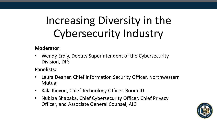# Increasing Diversity in the Cybersecurity Industry

#### **Moderator:**

• Wendy Erdly, Deputy Superintendent of the Cybersecurity Division, DFS

#### **Panelists:**

- Laura Deaner, Chief Information Security Officer, Northwestern Mutual
- Kala Kinyon, Chief Technology Officer, Boom ID
- Nubiaa Shabaka, Chief Cybersecurity Officer, Chief Privacy Officer, and Associate General Counsel, AIG

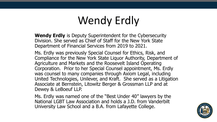# Wendy Erdly

**Wendy Erdly** is Deputy Superintendent for the Cybersecurity Division. She served as Chief of Staff for the New York State Department of Financial Services from 2019 to 2021.

Ms. Erdly was previously Special Counsel for Ethics, Risk, and Compliance for the New York State Liquor Authority, Department of Agriculture and Markets and the Roosevelt Island Operating Corporation. Prior to her Special Counsel appointment, Ms. Erdly was counsel to many companies through Axiom Legal, including United Technologies, Unilever, and Kraft. She served as a Litigation Associate at Bernstein, Litowitz Berger & Grossman LLP and at Dewey & LeBoeuf LLP.

Ms. Erdly was named one of the "Best Under 40" lawyers by the National LGBT Law Association and holds a J.D. from Vanderbilt University Law School and a B.A. from Lafayette College.

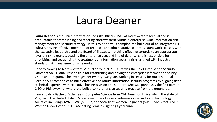### Laura Deaner

**Laura Deaner** is the Chief Information Security Officer (CISO) at Northwestern Mutual and is accountable for establishing and steering Northwestern Mutual's enterprise-wide information risk management and security strategy. In this role she will champion the build out of an integrated risk culture, driving effective operation of technical and administrative controls. Laura works closely with the executive leadership and the Board of Trustees, matching effective controls to an appropriate level of risk tolerance. Leading the enterprise's second line of defense, she is responsible for prioritizing and sequencing the treatment of information security risks, aligned with industrystandard risk management frameworks.

Prior to coming to Northwestern Mutual early in 2021, Laura was the Chief Information Security Officer at S&P Global, responsible for establishing and driving the enterprise information security vision and program. She leverages her twenty-two years working in security for multi-national Fortune 500 companies to build effective and robust information security programs by aligning deep technical expertise with executive business vision and support. She was previously the first named CISO at PRNewswire, where she built a comprehensive security practice from the ground up.

Laura holds a Bachelor's degree in Computer Science from Old Dominion University in the state of Virginia in the United States. She is a member of several information security and technology societies including OWASP, WiCyS, ISC2, and Society of Women Engineers (SWE). She's featured in Women Know Cyber – 100 Fascinating Females Fighting Cybercrime.

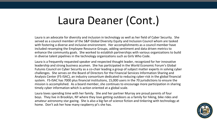# Laura Deaner (Cont.)

Laura is an advocate for diversity and inclusion in technology as well as her field of Cyber Security. She served as a council member of the S&P Global Diversity Equity and Inclusion Council whom are tasked with fostering a diverse and inclusive environment. Her accomplishments as a council member have included revamping the Employee Resource Groups, adding sentiment and data driven metrics to enhance the community goals. She worked to establish partnerships with various organizations to build in diverse talent pipelines in the technology organizations such as Girls Who Code.

Laura is a frequently requested speaker and respected thought leader, recognized for her innovative leadership and strong business acumen. She has participated in the World Economic Forum's Global Futures Council on Cyber Security as a co-chair leading a group of subject matter experts in solving cyber challenges. She serves on the Board of Directors for the Financial Services Information Sharing and Analysis Center (FS-ISAC), an industry consortium dedicated to reducing cyber-risk in the global financial system. FS-ISAC has 7000 plus financial institutions, 15,000 users in the 70 jurisdictions to ensure the mission is accomplished. As a board member, she continues to encourage more participation in sharing timely cyber information which is action oriented at a global scale.

Laura loves spending time with her family. She and her partner Murray are proud parents of four boys. They live in Brooklyn, NY where they love getting outdoors as a family for hiking, bike rides and amateur astronomy star gazing. She is also a big fan of science fiction and tinkering with technology at home. Don't ask her how many raspberry pi's she has.

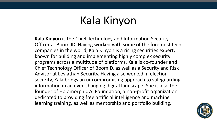# Kala Kinyon

**Kala Kinyon** is the Chief Technology and Information Security Officer at Boom ID. Having worked with some of the foremost tech companies in the world, Kala Kinyon is a rising securities expert, known for building and implementing highly complex security programs across a multitude of platforms. Kala is co-founder and Chief Technology Officer of BoomID, as well as a Security and Risk Advisor at Leviathan Security. Having also worked in election security, Kala brings an uncompromising approach to safeguarding information in an ever-changing digital landscape. She is also the founder of Holomorphic AI Foundation, a non-profit organization dedicated to providing free artificial intelligence and machine learning training, as well as mentorship and portfolio building.

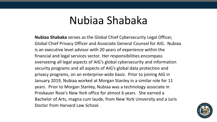## Nubiaa Shabaka

**Nubiaa Shabaka** serves as the Global Chief Cybersecurity Legal Officer, Global Chief Privacy Officer and Associate General Counsel for AIG. Nubiaa is an executive level advisor with 20 years of experience within the financial and legal services sector*.* Her responsibilities encompass overseeing all legal aspects of AIG's global cybersecurity and information security programs and all aspects of AIG's global data protection and privacy programs, on an enterprise-wide basis. Prior to joining AIG in January 2019, Nubiaa worked at Morgan Stanley in a similar role for 11 years. Prior to Morgan Stanley, Nubiaa was a technology associate in Proskauer Rose's New York office for almost 6 years. She earned a Bachelor of Arts, magna cum laude, from New York University and a Juris Doctor from Harvard Law School.

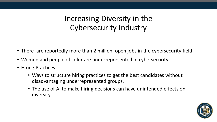Increasing Diversity in the Cybersecurity Industry

- There are reportedly more than 2 million open jobs in the cybersecurity field.
- Women and people of color are underrepresented in cybersecurity.
- Hiring Practices:
	- Ways to structure hiring practices to get the best candidates without disadvantaging underrepresented groups.
	- The use of AI to make hiring decisions can have unintended effects on diversity.

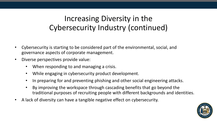### Increasing Diversity in the Cybersecurity Industry (continued)

- Cybersecurity is starting to be considered part of the environmental, social, and governance aspects of corporate management.
- Diverse perspectives provide value:
	- When responding to and managing a crisis.
	- While engaging in cybersecurity product development.
	- In preparing for and preventing phishing and other social engineering attacks.
	- By improving the workspace through cascading benefits that go beyond the traditional purposes of recruiting people with different backgrounds and identities.
- A lack of diversity can have a tangible negative effect on cybersecurity.

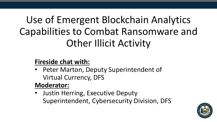# Use of Emergent Blockchain Analytics Capabilities to Combat Ransomware and Other Illicit Activity

### **Fireside chat with:**

• Peter Marton, Deputy Superintendent of Virtual Currency, DFS

### **Moderator:**

• Justin Herring, Executive Deputy Superintendent, Cybersecurity Division, DFS

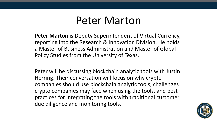### Peter Marton

**Peter Marton** is Deputy Superintendent of Virtual Currency, reporting into the Research & Innovation Division. He holds a Master of Business Administration and Master of Global Policy Studies from the University of Texas.

Peter will be discussing blockchain analytic tools with Justin Herring. Their conversation will focus on why crypto companies should use blockchain analytic tools, challenges crypto companies may face when using the tools, and best practices for integrating the tools with traditional customer due diligence and monitoring tools.

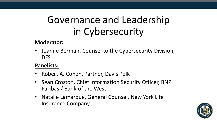## Governance and Leadership in Cybersecurity

### **Moderator:**

• Joanne Berman, Counsel to the Cybersecurity Division, DFS

### **Panelists:**

- Robert A. Cohen, Partner, Davis Polk
- Sean Croston, Chief Information Security Officer, BNP Paribas / Bank of the West
- Natalie Lamarque, General Counsel, New York Life Insurance Company

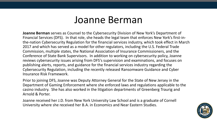### Joanne Berman

**Joanne Berman** serves as Counsel to the Cybersecurity Division of New York's Department of Financial Services (DFS). In that role, she heads the legal team that enforces New York's first-inthe-nation Cybersecurity Regulation for the financial services industry, which took effect in March 2017 and which has served as a model for other regulators, including the U.S. Federal Trade Commission, multiple states, the National Association of Insurance Commissioners, and the Conference of State Bank Supervisors. In addition to working on cybersecurity policy, Joanne reviews cybersecurity issues arising from DFS's supervision and examinations, and focuses on publishing alerts, reports, and guidance for the financial services industry regarding the Cybersecurity Regulation, including the recently released Ransomware Guidance and Cyber Insurance Risk Framework.

Prior to joining DFS, Joanne was Deputy Attorney General for the State of New Jersey in the Department of Gaming Enforcement where she enforced laws and regulations applicable to the casino industry. She has also worked in the litigation departments of Greenberg Traurig and Arnold & Porter.

Joanne received her J.D. from New York University Law School and is a graduate of Cornell University where she received her B.A. in Economics and Near Eastern Studies.

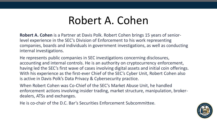# Robert A. Cohen

**Robert A. Cohen** is a Partner at Davis Polk. Robert Cohen brings 15 years of seniorlevel experience in the SEC's Division of Enforcement to his work representing companies, boards and individuals in government investigations, as well as conducting internal investigations.

He represents public companies in SEC investigations concerning disclosures, accounting and internal controls. He is an authority on cryptocurrency enforcement, having led the SEC's first wave of cases involving digital assets and initial coin offerings. With his experience as the first-ever Chief of the SEC's Cyber Unit, Robert Cohen also is active in Davis Polk's Data Privacy & Cybersecurity practice.

When Robert Cohen was Co-Chief of the SEC's Market Abuse Unit, he handled enforcement actions involving insider trading, market structure, manipulation, brokerdealers, ATSs and exchanges.

He is co-chair of the D.C. Bar's Securities Enforcement Subcommittee.

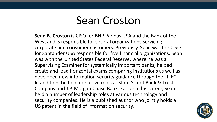### Sean Croston

**Sean B. Croston** is CISO for BNP Paribas USA and the Bank of the West and is responsible for several organizations servicing corporate and consumer customers. Previously, Sean was the CISO for Santander USA responsible for five financial organizations. Sean was with the United States Federal Reserve, where he was a Supervising Examiner for systemically important banks, helped create and lead horizontal exams comparing institutions as well as developed new information security guidance through the FFIEC. In addition, he held executive roles at State Street Bank & Trust Company and J.P. Morgan Chase Bank. Earlier in his career, Sean held a number of leadership roles at various technology and security companies. He is a published author who jointly holds a US patent in the field of information security.

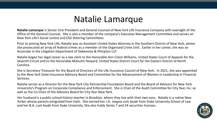### Natalie Lamarque

**Natalie Lamarque** is Senior Vice President and General Counsel of New York Life Insurance Company with oversight of the Office of the General Counsel. She is also a member of the company's Executive Management Committee and serves on New York Life's Social Justice and ESG Steering Committees.

Prior to joining New York Life, Natalie was an Assistant United States Attorney in the Southern District of New York, where she prosecuted an array of federal crimes as a member of the Organized Crime Unit. Earlier in her career, she was an Associate in the Litigation Department of Debevoise & Plimpton LLP.

Natalie began her legal career as a law clerk to the Honorable Ann Claire Williams, United States Court of Appeals for the Seventh Circuit and to the Honorable Malcolm Howard, United States District Court for the Eastern District of North Carolina.

She is Secretary-Treasurer for the Board of Directors of the Life Insurance Council of New York. In 2021, she was appointed to the New York State Insurance Advisory Board and Committee for the Advancement of Women in Leadership in Financial Services.

Natalie serves as a Director for the New York City Partnership Foundation Board and the Board of Advisors for New York University's Program on Corporate Compliance and Enforcement. She is Chair of the Audit Committee for City Year, Inc. as well as the Co-Chair of the Advisory Board for City Year New York.

Her husband is a public-school history teacher in Brooklyn, where they live with their two sons. Natalie is a native New Yorker whose parents emigrated from Haiti. She earned her J.D. *magna cum laude* from Duke University School of Law and her B.A. *cum laude* from Duke University. She also holds Series 7 and 24 securities licenses.

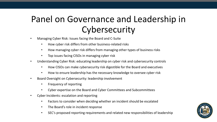### Panel on Governance and Leadership in **Cybersecurity**

- Managing Cyber Risk: Issues facing the Board and C-Suite
	- How cyber risk differs from other business-related risks
	- How managing cyber risk differs from managing other types of business risks
	- Top issues facing CISOs in managing cyber risk
- Understanding Cyber Risk: educating leadership on cyber risk and cybersecurity controls
	- How CISOs can make cybersecurity risk digestible for the Board and executives
	- How to ensure leadership has the necessary knowledge to oversee cyber risk
- Board Oversight on Cybersecurity: leadership involvement
	- Frequency of reporting
	- Cyber expertise on the Board and Cyber Committees and Subcommittees
- Cyber Incidents: escalation and reporting
	- Factors to consider when deciding whether an incident should be escalated
	- The Board's role in incident response
	- SEC's proposed reporting requirements and related new responsibilities of leadership

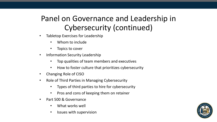### Panel on Governance and Leadership in Cybersecurity (continued)

- Tabletop Exercises for Leadership
	- Whom to include
	- Topics to cover
- Information Security Leadership
	- Top qualities of team members and executives
	- How to foster culture that prioritizes cybersecurity
- Changing Role of CISO
- Role of Third Parties in Managing Cybersecurity
	- Types of third parties to hire for cybersecurity
	- Pros and cons of keeping them on retainer
- Part 500 & Governance
	- What works well
	- Issues with supervision

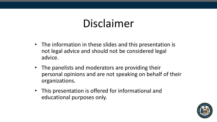# Disclaimer

- The information in these slides and this presentation is not legal advice and should not be considered legal advice.
- The panelists and moderators are providing their personal opinions and are not speaking on behalf of their organizations.
- This presentation is offered for informational and educational purposes only.